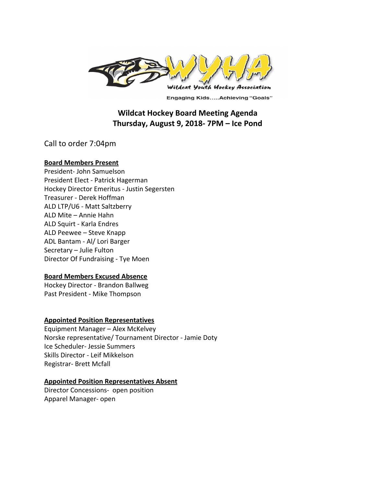

**Engaging Kids.....Achieving "Goals"** 

# **Wildcat Hockey Board Meeting Agenda Thursday, August 9, 2018- 7PM – Ice Pond**

Call to order 7:04pm

#### **Board Members Present**

President- John Samuelson President Elect - Patrick Hagerman Hockey Director Emeritus - Justin Segersten Treasurer - Derek Hoffman ALD LTP/U6 - Matt Saltzberry ALD Mite – Annie Hahn ALD Squirt - Karla Endres ALD Peewee – Steve Knapp ADL Bantam - Al/ Lori Barger Secretary – Julie Fulton Director Of Fundraising - Tye Moen

### **Board Members Excused Absence**

Hockey Director - Brandon Ballweg Past President - Mike Thompson

### **Appointed Position Representatives**

Equipment Manager – Alex McKelvey Norske representative/ Tournament Director - Jamie Doty Ice Scheduler- Jessie Summers Skills Director - Leif Mikkelson Registrar- Brett Mcfall

### **Appointed Position Representatives Absent**

Director Concessions- open position Apparel Manager- open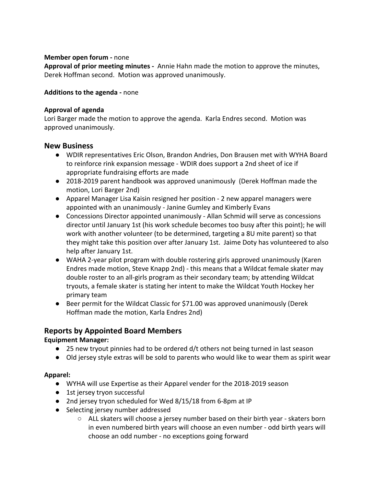### **Member open forum -** none

**Approval of prior meeting minutes -** Annie Hahn made the motion to approve the minutes, Derek Hoffman second. Motion was approved unanimously.

### **Additions to the agenda -** none

### **Approval of agenda**

Lori Barger made the motion to approve the agenda. Karla Endres second. Motion was approved unanimously.

## **New Business**

- WDIR representatives Eric Olson, Brandon Andries, Don Brausen met with WYHA Board to reinforce rink expansion message - WDIR does support a 2nd sheet of ice if appropriate fundraising efforts are made
- 2018-2019 parent handbook was approved unanimously (Derek Hoffman made the motion, Lori Barger 2nd)
- Apparel Manager Lisa Kaisin resigned her position 2 new apparel managers were appointed with an unanimously - Janine Gumley and Kimberly Evans
- Concessions Director appointed unanimously Allan Schmid will serve as concessions director until January 1st (his work schedule becomes too busy after this point); he will work with another volunteer (to be determined, targeting a 8U mite parent) so that they might take this position over after January 1st. Jaime Doty has volunteered to also help after January 1st.
- WAHA 2-year pilot program with double rostering girls approved unanimously (Karen Endres made motion, Steve Knapp 2nd) - this means that a Wildcat female skater may double roster to an all-girls program as their secondary team; by attending Wildcat tryouts, a female skater is stating her intent to make the Wildcat Youth Hockey her primary team
- Beer permit for the Wildcat Classic for \$71.00 was approved unanimously (Derek Hoffman made the motion, Karla Endres 2nd)

# **Reports by Appointed Board Members**

## **Equipment Manager:**

- 25 new tryout pinnies had to be ordered d/t others not being turned in last season
- Old jersey style extras will be sold to parents who would like to wear them as spirit wear

### **Apparel:**

- WYHA will use Expertise as their Apparel vender for the 2018-2019 season
- 1st jersey tryon successful
- 2nd jersey tryon scheduled for Wed 8/15/18 from 6-8pm at IP
- Selecting jersey number addressed
	- ALL skaters will choose a jersey number based on their birth year skaters born in even numbered birth years will choose an even number - odd birth years will choose an odd number - no exceptions going forward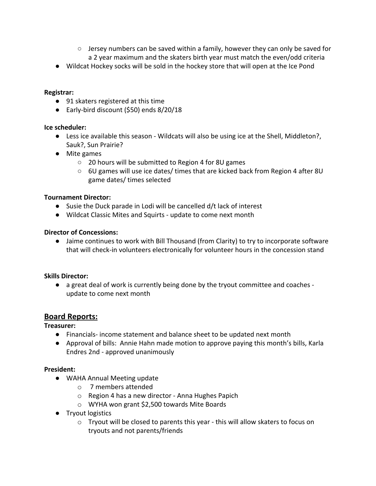- $\circ$  Jersey numbers can be saved within a family, however they can only be saved for a 2 year maximum and the skaters birth year must match the even/odd criteria
- Wildcat Hockey socks will be sold in the hockey store that will open at the Ice Pond

## **Registrar:**

- 91 skaters registered at this time
- Early-bird discount (\$50) ends 8/20/18

## **Ice scheduler:**

- Less ice available this season Wildcats will also be using ice at the Shell, Middleton?, Sauk?, Sun Prairie?
- Mite games
	- 20 hours will be submitted to Region 4 for 8U games
	- 6U games will use ice dates/ times that are kicked back from Region 4 after 8U game dates/ times selected

## **Tournament Director:**

- Susie the Duck parade in Lodi will be cancelled d/t lack of interest
- Wildcat Classic Mites and Squirts update to come next month

## **Director of Concessions:**

● Jaime continues to work with Bill Thousand (from Clarity) to try to incorporate software that will check-in volunteers electronically for volunteer hours in the concession stand

### **Skills Director:**

● a great deal of work is currently being done by the tryout committee and coaches update to come next month

## **Board Reports:**

## **Treasurer:**

- Financials- income statement and balance sheet to be updated next month
- Approval of bills: Annie Hahn made motion to approve paying this month's bills, Karla Endres 2nd - approved unanimously

### **President:**

- WAHA Annual Meeting update
	- o 7 members attended
	- o Region 4 has a new director Anna Hughes Papich
	- o WYHA won grant \$2,500 towards Mite Boards
- Tryout logistics
	- $\circ$  Tryout will be closed to parents this year this will allow skaters to focus on tryouts and not parents/friends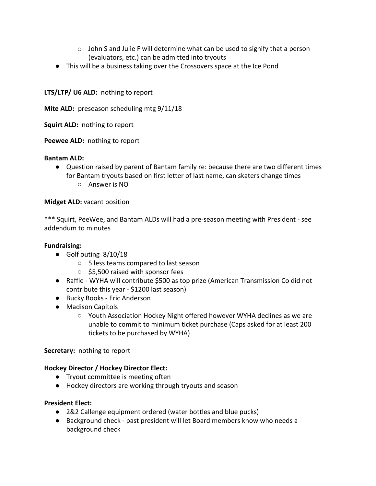- $\circ$  John S and Julie F will determine what can be used to signify that a person (evaluators, etc.) can be admitted into tryouts
- This will be a business taking over the Crossovers space at the Ice Pond

## **LTS/LTP/ U6 ALD:** nothing to report

**Mite ALD:** preseason scheduling mtg 9/11/18

**Squirt ALD:** nothing to report

**Peewee ALD:** nothing to report

## **Bantam ALD:**

- Question raised by parent of Bantam family re: because there are two different times for Bantam tryouts based on first letter of last name, can skaters change times
	- Answer is NO

## **Midget ALD:** vacant position

\*\*\* Squirt, PeeWee, and Bantam ALDs will had a pre-season meeting with President - see addendum to minutes

## **Fundraising:**

- Golf outing 8/10/18
	- 5 less teams compared to last season
	- \$5,500 raised with sponsor fees
- Raffle WYHA will contribute \$500 as top prize (American Transmission Co did not contribute this year - \$1200 last season)
- Bucky Books Eric Anderson
- Madison Capitols
	- Youth Association Hockey Night offered however WYHA declines as we are unable to commit to minimum ticket purchase (Caps asked for at least 200 tickets to be purchased by WYHA)

## **Secretary:** nothing to report

## **Hockey Director / Hockey Director Elect:**

- Tryout committee is meeting often
- Hockey directors are working through tryouts and season

### **President Elect:**

- 2&2 Callenge equipment ordered (water bottles and blue pucks)
- Background check past president will let Board members know who needs a background check